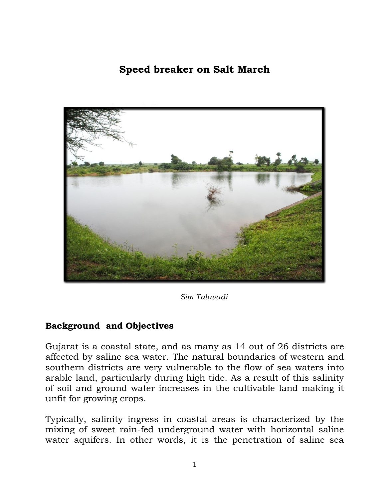## **Speed breaker on Salt March**



*Sim Talavadi*

## **Background and Objectives**

Gujarat is a coastal state, and as many as 14 out of 26 districts are affected by saline sea water. The natural boundaries of western and southern districts are very vulnerable to the flow of sea waters into arable land, particularly during high tide. As a result of this salinity of soil and ground water increases in the cultivable land making it unfit for growing crops.

Typically, salinity ingress in coastal areas is characterized by the mixing of sweet rain-fed underground water with horizontal saline water aquifers. In other words, it is the penetration of saline sea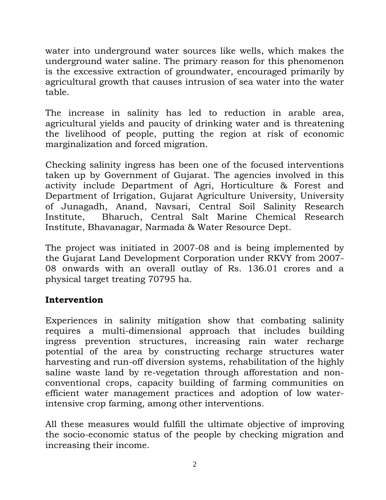water into underground water sources like wells, which makes the underground water saline. The primary reason for this phenomenon is the excessive extraction of groundwater, encouraged primarily by agricultural growth that causes intrusion of sea water into the water table.

The increase in salinity has led to reduction in arable area, agricultural yields and paucity of drinking water and is threatening the livelihood of people, putting the region at risk of economic marginalization and forced migration.

Checking salinity ingress has been one of the focused interventions taken up by Government of Gujarat. The agencies involved in this activity include Department of Agri, Horticulture & Forest and Department of Irrigation, Gujarat Agriculture University, University of Junagadh, Anand, Navsari, Central Soil Salinity Research Institute, Bharuch, Central Salt Marine Chemical Research Institute, Bhavanagar, Narmada & Water Resource Dept.

The project was initiated in 2007-08 and is being implemented by the Gujarat Land Development Corporation under RKVY from 2007- 08 onwards with an overall outlay of Rs. 136.01 crores and a physical target treating 70795 ha.

## **Intervention**

Experiences in salinity mitigation show that combating salinity requires a multi-dimensional approach that includes building ingress prevention structures, increasing rain water recharge potential of the area by constructing recharge structures water harvesting and run-off diversion systems, rehabilitation of the highly saline waste land by re-vegetation through afforestation and nonconventional crops, capacity building of farming communities on efficient water management practices and adoption of low waterintensive crop farming, among other interventions.

All these measures would fulfill the ultimate objective of improving the socio-economic status of the people by checking migration and increasing their income.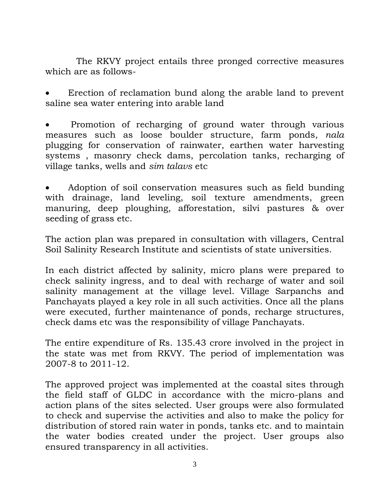The RKVY project entails three pronged corrective measures which are as follows-

 Erection of reclamation bund along the arable land to prevent saline sea water entering into arable land

 Promotion of recharging of ground water through various measures such as loose boulder structure, farm ponds*, nala* plugging for conservation of rainwater, earthen water harvesting systems , masonry check dams, percolation tanks, recharging of village tanks, wells and *sim talavs* etc

 Adoption of soil conservation measures such as field bunding with drainage, land leveling, soil texture amendments, green manuring, deep ploughing, afforestation, silvi pastures & over seeding of grass etc.

The action plan was prepared in consultation with villagers, Central Soil Salinity Research Institute and scientists of state universities.

In each district affected by salinity, micro plans were prepared to check salinity ingress, and to deal with recharge of water and soil salinity management at the village level. Village Sarpanchs and Panchayats played a key role in all such activities. Once all the plans were executed, further maintenance of ponds, recharge structures, check dams etc was the responsibility of village Panchayats.

The entire expenditure of Rs. 135.43 crore involved in the project in the state was met from RKVY. The period of implementation was 2007-8 to 2011-12.

The approved project was implemented at the coastal sites through the field staff of GLDC in accordance with the micro-plans and action plans of the sites selected. User groups were also formulated to check and supervise the activities and also to make the policy for distribution of stored rain water in ponds, tanks etc. and to maintain the water bodies created under the project. User groups also ensured transparency in all activities.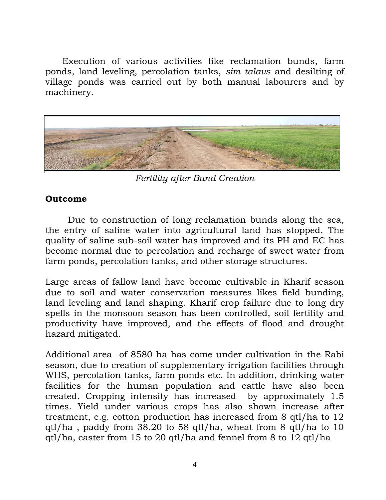Execution of various activities like reclamation bunds, farm ponds, land leveling, percolation tanks, *sim talavs* and desilting of village ponds was carried out by both manual labourers and by machinery.



*Fertility after Bund Creation*

## **Outcome**

 Due to construction of long reclamation bunds along the sea, the entry of saline water into agricultural land has stopped. The quality of saline sub-soil water has improved and its PH and EC has become normal due to percolation and recharge of sweet water from farm ponds, percolation tanks, and other storage structures.

Large areas of fallow land have become cultivable in Kharif season due to soil and water conservation measures likes field bunding, land leveling and land shaping. Kharif crop failure due to long dry spells in the monsoon season has been controlled, soil fertility and productivity have improved, and the effects of flood and drought hazard mitigated.

Additional area of 8580 ha has come under cultivation in the Rabi season, due to creation of supplementary irrigation facilities through WHS, percolation tanks, farm ponds etc. In addition, drinking water facilities for the human population and cattle have also been created. Cropping intensity has increased by approximately 1.5 times. Yield under various crops has also shown increase after treatment, e.g. cotton production has increased from 8 qtl/ha to 12 qtl/ha , paddy from 38.20 to 58 qtl/ha, wheat from 8 qtl/ha to 10 qtl/ha, caster from 15 to 20 qtl/ha and fennel from 8 to 12 qtl/ha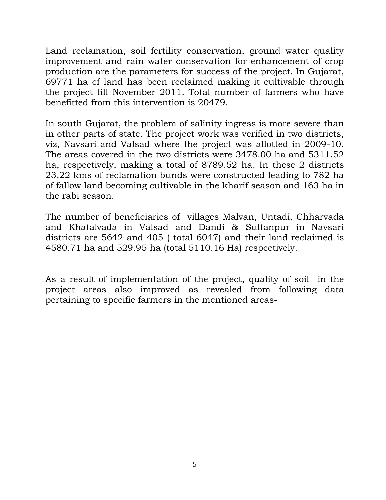Land reclamation, soil fertility conservation, ground water quality improvement and rain water conservation for enhancement of crop production are the parameters for success of the project. In Gujarat, 69771 ha of land has been reclaimed making it cultivable through the project till November 2011. Total number of farmers who have benefitted from this intervention is 20479.

In south Gujarat, the problem of salinity ingress is more severe than in other parts of state. The project work was verified in two districts, viz, Navsari and Valsad where the project was allotted in 2009-10. The areas covered in the two districts were 3478.00 ha and 5311.52 ha, respectively, making a total of 8789.52 ha. In these 2 districts 23.22 kms of reclamation bunds were constructed leading to 782 ha of fallow land becoming cultivable in the kharif season and 163 ha in the rabi season.

The number of beneficiaries of villages Malvan, Untadi, Chharvada and Khatalvada in Valsad and Dandi & Sultanpur in Navsari districts are 5642 and 405 ( total 6047) and their land reclaimed is 4580.71 ha and 529.95 ha (total 5110.16 Ha) respectively.

As a result of implementation of the project, quality of soil in the project areas also improved as revealed from following data pertaining to specific farmers in the mentioned areas-